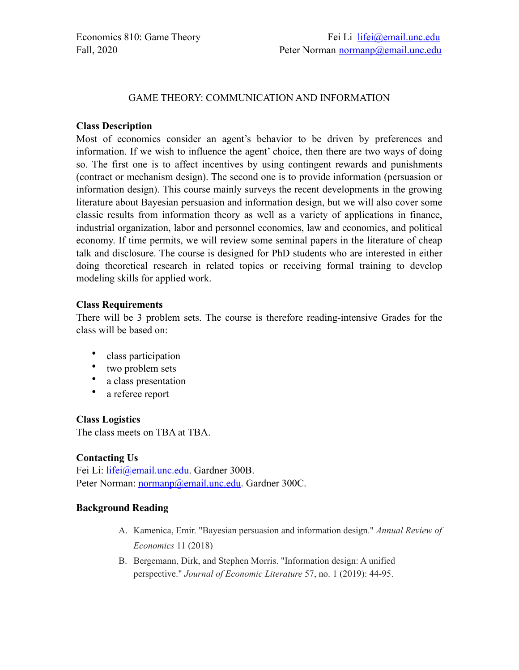#### GAME THEORY: COMMUNICATION AND INFORMATION

#### **Class Description**

Most of economics consider an agent's behavior to be driven by preferences and information. If we wish to influence the agent' choice, then there are two ways of doing so. The first one is to affect incentives by using contingent rewards and punishments (contract or mechanism design). The second one is to provide information (persuasion or information design). This course mainly surveys the recent developments in the growing literature about Bayesian persuasion and information design, but we will also cover some classic results from information theory as well as a variety of applications in finance, industrial organization, labor and personnel economics, law and economics, and political economy. If time permits, we will review some seminal papers in the literature of cheap talk and disclosure. The course is designed for PhD students who are interested in either doing theoretical research in related topics or receiving formal training to develop modeling skills for applied work.

#### **Class Requirements**

There will be 3 problem sets. The course is therefore reading-intensive Grades for the class will be based on:

- class participation
- two problem sets
- a class presentation
- a referee report

### **Class Logistics**

The class meets on TBA at TBA.

### **Contacting Us**

Fei Li: [lifei@email.unc.edu](mailto:lifei@email.unc.edu). Gardner 300B. Peter Norman: [normanp@email.unc.edu](mailto:normanp@email.unc.edu). Gardner 300C.

### **Background Reading**

- A. Kamenica, Emir. "Bayesian persuasion and information design." *Annual Review of Economics* 11 (2018)
- B. Bergemann, Dirk, and Stephen Morris. "Information design: A unified perspective." *Journal of Economic Literature* 57, no. 1 (2019): 44-95.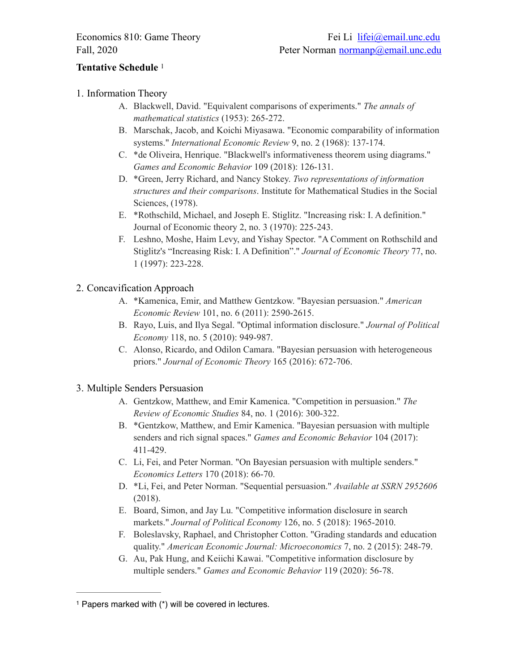# **Tentative Schedule** [1](#page-1-0)

# 1. Information Theory

- <span id="page-1-1"></span>A. Blackwell, David. "Equivalent comparisons of experiments." *The annals of mathematical statistics* (1953): 265-272.
- B. Marschak, Jacob, and Koichi Miyasawa. "Economic comparability of information systems." *International Economic Review* 9, no. 2 (1968): 137-174.
- C. \*de Oliveira, Henrique. "Blackwell's informativeness theorem using diagrams." *Games and Economic Behavior* 109 (2018): 126-131.
- D. \*Green, Jerry Richard, and Nancy Stokey. *Two representations of information structures and their comparisons*. Institute for Mathematical Studies in the Social Sciences, (1978).
- E. \*Rothschild, Michael, and Joseph E. Stiglitz. "Increasing risk: I. A definition." Journal of Economic theory 2, no. 3 (1970): 225-243.
- F. Leshno, Moshe, Haim Levy, and Yishay Spector. "A Comment on Rothschild and Stiglitz's "Increasing Risk: I. A Definition"." *Journal of Economic Theory* 77, no. 1 (1997): 223-228.

# 2. Concavification Approach

- A. \*Kamenica, Emir, and Matthew Gentzkow. "Bayesian persuasion." *American Economic Review* 101, no. 6 (2011): 2590-2615.
- B. Rayo, Luis, and Ilya Segal. "Optimal information disclosure." *Journal of Political Economy* 118, no. 5 (2010): 949-987.
- C. Alonso, Ricardo, and Odilon Camara. "Bayesian persuasion with heterogeneous priors." *Journal of Economic Theory* 165 (2016): 672-706.

### 3. Multiple Senders Persuasion

- A. Gentzkow, Matthew, and Emir Kamenica. "Competition in persuasion." *The Review of Economic Studies* 84, no. 1 (2016): 300-322.
- B. \*Gentzkow, Matthew, and Emir Kamenica. "Bayesian persuasion with multiple senders and rich signal spaces." *Games and Economic Behavior* 104 (2017): 411-429.
- C. Li, Fei, and Peter Norman. "On Bayesian persuasion with multiple senders." *Economics Letters* 170 (2018): 66-70.
- D. \*Li, Fei, and Peter Norman. "Sequential persuasion." *Available at SSRN 2952606* (2018).
- E. Board, Simon, and Jay Lu. "Competitive information disclosure in search markets." *Journal of Political Economy* 126, no. 5 (2018): 1965-2010.
- F. Boleslavsky, Raphael, and Christopher Cotton. "Grading standards and education quality." *American Economic Journal: Microeconomics* 7, no. 2 (2015): 248-79.
- G. Au, Pak Hung, and Keiichi Kawai. "Competitive information disclosure by multiple senders." *Games and Economic Behavior* 119 (2020): 56-78.

<span id="page-1-0"></span> $1$  Papers marked with  $(*)$  will be covered in lectures.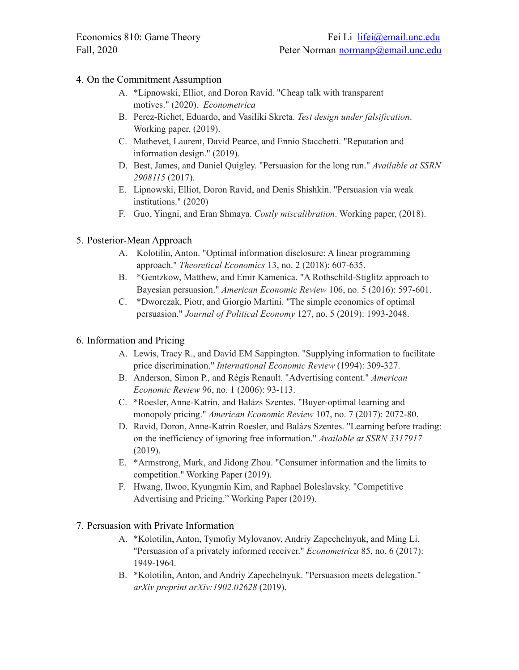### 4. On the Commitment Assumption

- A. \*Lipnowski, Elliot, and Doron Ravid. "Cheap talk with transparent motives." (2020). *Econometrica*
- B. Perez-Richet, Eduardo, and Vasiliki Skreta. *Test design under falsification*. Working paper, (2019).
- C. Mathevet, Laurent, David Pearce, and Ennio Stacchetti. "Reputation and information design." (2019).
- D. Best, James, and Daniel Quigley. "Persuasion for the long run." *Available at SSRN 2908115* (2017).
- E. Lipnowski, Elliot, Doron Ravid, and Denis Shishkin. "Persuasion via weak institutions." (2020)
- F. Guo, Yingni, and Eran Shmaya. *Costly miscalibration*. Working paper, (2018).

### 5. Posterior-Mean Approach

- A. Kolotilin, Anton. "Optimal information disclosure: A linear programming approach." *Theoretical Economics* 13, no. 2 (2018): 607-635.
- B. \*Gentzkow, Matthew, and Emir Kamenica. "A Rothschild-Stiglitz approach to Bayesian persuasion." *American Economic Review* 106, no. 5 (2016): 597-601.
- C. \*Dworczak, Piotr, and Giorgio Martini. "The simple economics of optimal persuasion." *Journal of Political Economy* 127, no. 5 (2019): 1993-2048.

### 6. Information and Pricing

- A. Lewis, Tracy R., and David EM Sappington. "Supplying information to facilitate price discrimination." *International Economic Review* (1994): 309-327.
- B. Anderson, Simon P., and Régis Renault. "Advertising content." *American Economic Review* 96, no. 1 (2006): 93-113.
- C. \*Roesler, Anne-Katrin, and Balázs Szentes. "Buyer-optimal learning and monopoly pricing." *American Economic Review* 107, no. 7 (2017): 2072-80.
- D. Ravid, Doron, Anne-Katrin Roesler, and Balázs Szentes. "Learning before trading: on the inefficiency of ignoring free information." *Available at SSRN 3317917* (2019).
- E. \*Armstrong, Mark, and Jidong Zhou. "Consumer information and the limits to competition." Working Paper (2019).
- F. Hwang, Ilwoo, Kyungmin Kim, and Raphael Boleslavsky. "Competitive Advertising and Pricing." Working Paper (2019).

### 7. Persuasion with Private Information

- A. \*Kolotilin, Anton, Tymofiy Mylovanov, Andriy Zapechelnyuk, and Ming Li. "Persuasion of a privately informed receiver." *Econometrica* 85, no. 6 (2017): 1949-1964.
- B. \*Kolotilin, Anton, and Andriy Zapechelnyuk. "Persuasion meets delegation." *arXiv preprint arXiv:1902.02628* (2019).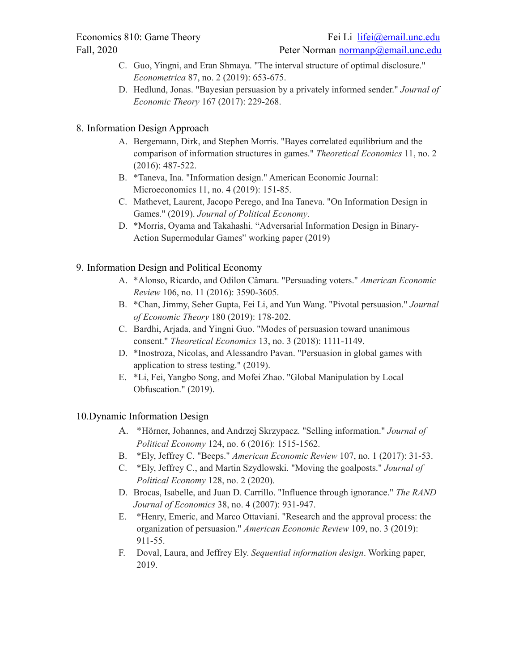- C. Guo, Yingni, and Eran Shmaya. "The interval structure of optimal disclosure." *Econometrica* 87, no. 2 (2019): 653-675.
- D. Hedlund, Jonas. "Bayesian persuasion by a privately informed sender." *Journal of Economic Theory* 167 (2017): 229-268.

#### 8. Information Design Approach

- A. Bergemann, Dirk, and Stephen Morris. "Bayes correlated equilibrium and the comparison of information structures in games." *Theoretical Economics* 11, no. 2 (2016): 487-522.
- B. \*Taneva, Ina. "Information design." American Economic Journal: Microeconomics 11, no. 4 (2019): 151-85.
- C. Mathevet, Laurent, Jacopo Perego, and Ina Taneva. "On Information Design in Games." (2019). *Journal of Political Economy*.
- D. \*Morris, Oyama and Takahashi. "Adversarial Information Design in Binary-Action Supermodular Games" working paper (2019)

#### 9. Information Design and Political Economy

- A. \*Alonso, Ricardo, and Odilon Câmara. "Persuading voters." *American Economic Review* 106, no. 11 (2016): 3590-3605.
- B. \*Chan, Jimmy, Seher Gupta, Fei Li, and Yun Wang. "Pivotal persuasion." *Journal of Economic Theory* 180 (2019): 178-202.
- C. Bardhi, Arjada, and Yingni Guo. "Modes of persuasion toward unanimous consent." *Theoretical Economics* 13, no. 3 (2018): 1111-1149.
- D. \*Inostroza, Nicolas, and Alessandro Pavan. "Persuasion in global games with application to stress testing." (2019).
- E. \*Li, Fei, Yangbo Song, and Mofei Zhao. "Global Manipulation by Local Obfuscation." (2019).

#### 10.Dynamic Information Design

- A. \*Hörner, Johannes, and Andrzej Skrzypacz. "Selling information." *Journal of Political Economy* 124, no. 6 (2016): 1515-1562.
- B. \*Ely, Jeffrey C. "Beeps." *American Economic Review* 107, no. 1 (2017): 31-53.
- C. \*Ely, Jeffrey C., and Martin Szydlowski. "Moving the goalposts." *Journal of Political Economy* 128, no. 2 (2020).
- D. Brocas, Isabelle, and Juan D. Carrillo. "Influence through ignorance." *The RAND Journal of Economics* 38, no. 4 (2007): 931-947.
- E. \*Henry, Emeric, and Marco Ottaviani. "Research and the approval process: the organization of persuasion." *American Economic Review* 109, no. 3 (2019): 911-55.
- F. Doval, Laura, and Jeffrey Ely. *Sequential information design*. Working paper, 2019.